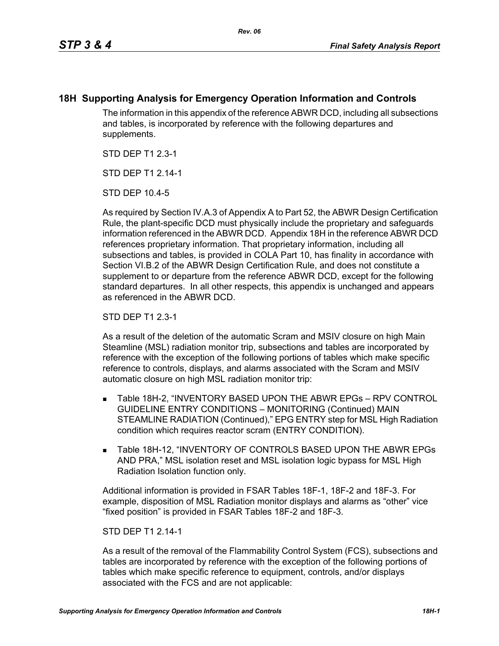## **18H Supporting Analysis for Emergency Operation Information and Controls**

The information in this appendix of the reference ABWR DCD, including all subsections and tables, is incorporated by reference with the following departures and supplements.

STD DEP T1 2.3-1

STD DFP T1 2 14-1

STD DEP 10.4-5

As required by Section IV.A.3 of Appendix A to Part 52, the ABWR Design Certification Rule, the plant-specific DCD must physically include the proprietary and safeguards information referenced in the ABWR DCD. Appendix 18H in the reference ABWR DCD references proprietary information. That proprietary information, including all subsections and tables, is provided in COLA Part 10, has finality in accordance with Section VI.B.2 of the ABWR Design Certification Rule, and does not constitute a supplement to or departure from the reference ABWR DCD, except for the following standard departures. In all other respects, this appendix is unchanged and appears as referenced in the ABWR DCD.

STD DEP T1 2.3-1

As a result of the deletion of the automatic Scram and MSIV closure on high Main Steamline (MSL) radiation monitor trip, subsections and tables are incorporated by reference with the exception of the following portions of tables which make specific reference to controls, displays, and alarms associated with the Scram and MSIV automatic closure on high MSL radiation monitor trip:

- Table 18H-2, "INVENTORY BASED UPON THE ABWR EPGs RPV CONTROL GUIDELINE ENTRY CONDITIONS – MONITORING (Continued) MAIN STEAMLINE RADIATION (Continued)," EPG ENTRY step for MSL High Radiation condition which requires reactor scram (ENTRY CONDITION).
- **Table 18H-12, "INVENTORY OF CONTROLS BASED UPON THE ABWR EPGs** AND PRA," MSL isolation reset and MSL isolation logic bypass for MSL High Radiation Isolation function only.

Additional information is provided in FSAR Tables 18F-1, 18F-2 and 18F-3. For example, disposition of MSL Radiation monitor displays and alarms as "other" vice "fixed position" is provided in FSAR Tables 18F-2 and 18F-3.

## STD DEP T1 2.14-1

As a result of the removal of the Flammability Control System (FCS), subsections and tables are incorporated by reference with the exception of the following portions of tables which make specific reference to equipment, controls, and/or displays associated with the FCS and are not applicable: